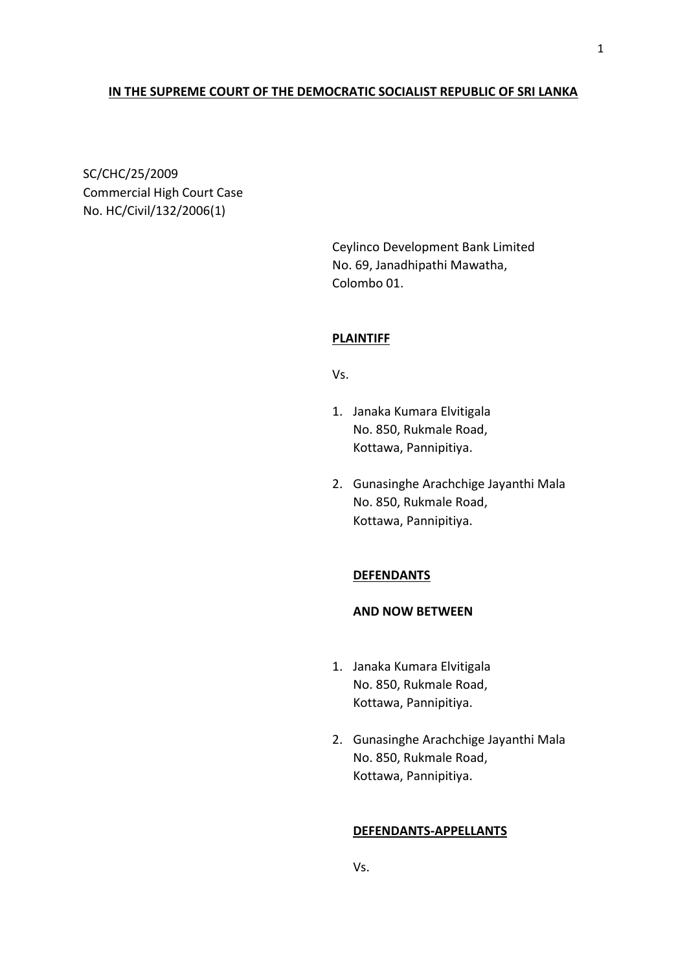# **IN THE SUPREME COURT OF THE DEMOCRATIC SOCIALIST REPUBLIC OF SRI LANKA**

SC/CHC/25/2009 Commercial High Court Case No. HC/Civil/132/2006(1)

> Ceylinco Development Bank Limited No. 69, Janadhipathi Mawatha, Colombo 01.

### **PLAINTIFF**

Vs.

- 1. Janaka Kumara Elvitigala No. 850, Rukmale Road, Kottawa, Pannipitiya.
- 2. Gunasinghe Arachchige Jayanthi Mala No. 850, Rukmale Road, Kottawa, Pannipitiya.

### **DEFENDANTS**

### **AND NOW BETWEEN**

- 1. Janaka Kumara Elvitigala No. 850, Rukmale Road, Kottawa, Pannipitiya.
- 2. Gunasinghe Arachchige Jayanthi Mala No. 850, Rukmale Road, Kottawa, Pannipitiya.

# **DEFENDANTS-APPELLANTS**

1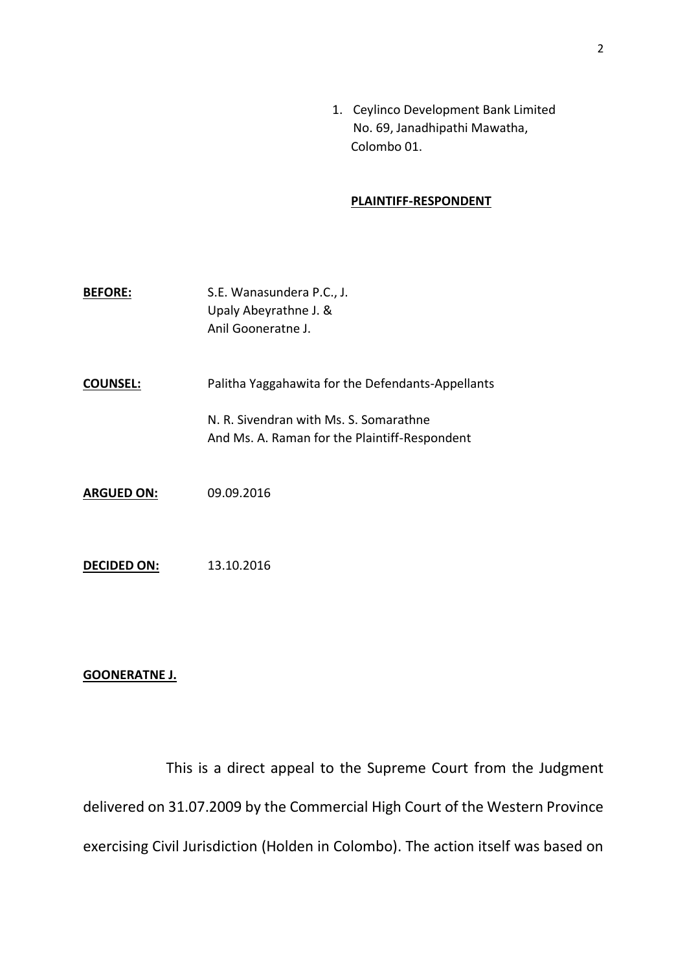1. Ceylinco Development Bank Limited No. 69, Janadhipathi Mawatha, Colombo 01.

# **PLAINTIFF-RESPONDENT**

- **BEFORE:** S.E. Wanasundera P.C., J. Upaly Abeyrathne J. & Anil Gooneratne J.
- **COUNSEL:** Palitha Yaggahawita for the Defendants-Appellants

N. R. Sivendran with Ms. S. Somarathne And Ms. A. Raman for the Plaintiff-Respondent

- **ARGUED ON:** 09.09.2016
- **DECIDED ON:** 13.10.2016

### **GOONERATNE J.**

This is a direct appeal to the Supreme Court from the Judgment delivered on 31.07.2009 by the Commercial High Court of the Western Province exercising Civil Jurisdiction (Holden in Colombo). The action itself was based on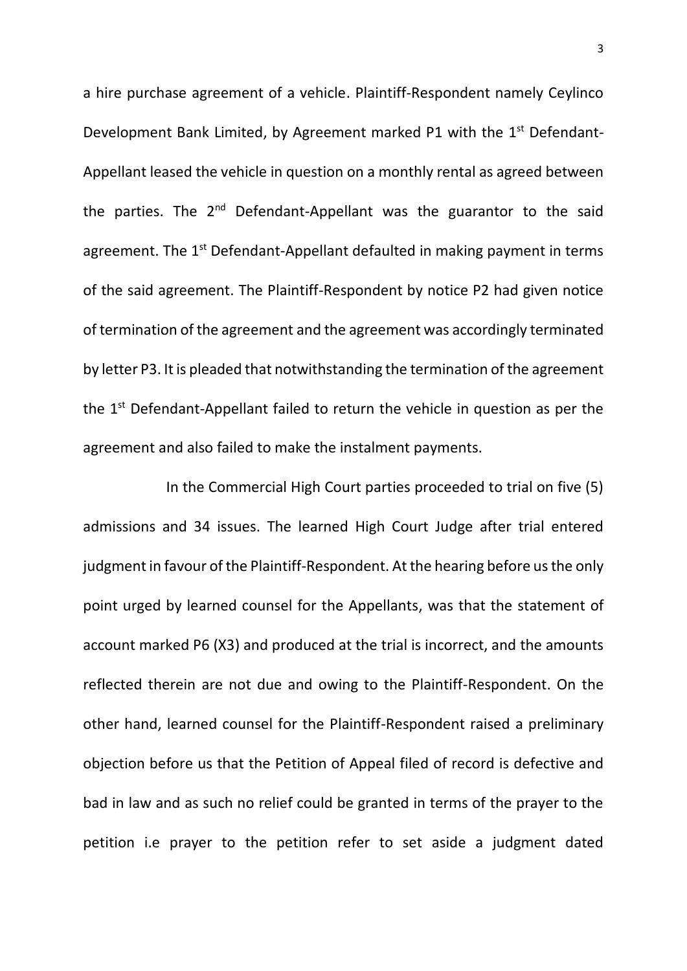a hire purchase agreement of a vehicle. Plaintiff-Respondent namely Ceylinco Development Bank Limited, by Agreement marked P1 with the 1<sup>st</sup> Defendant-Appellant leased the vehicle in question on a monthly rental as agreed between the parties. The  $2^{nd}$  Defendant-Appellant was the guarantor to the said agreement. The 1<sup>st</sup> Defendant-Appellant defaulted in making payment in terms of the said agreement. The Plaintiff-Respondent by notice P2 had given notice of termination of the agreement and the agreement was accordingly terminated by letter P3. It is pleaded that notwithstanding the termination of the agreement the 1<sup>st</sup> Defendant-Appellant failed to return the vehicle in question as per the agreement and also failed to make the instalment payments.

In the Commercial High Court parties proceeded to trial on five (5) admissions and 34 issues. The learned High Court Judge after trial entered judgment in favour of the Plaintiff-Respondent. At the hearing before us the only point urged by learned counsel for the Appellants, was that the statement of account marked P6 (X3) and produced at the trial is incorrect, and the amounts reflected therein are not due and owing to the Plaintiff-Respondent. On the other hand, learned counsel for the Plaintiff-Respondent raised a preliminary objection before us that the Petition of Appeal filed of record is defective and bad in law and as such no relief could be granted in terms of the prayer to the petition i.e prayer to the petition refer to set aside a judgment dated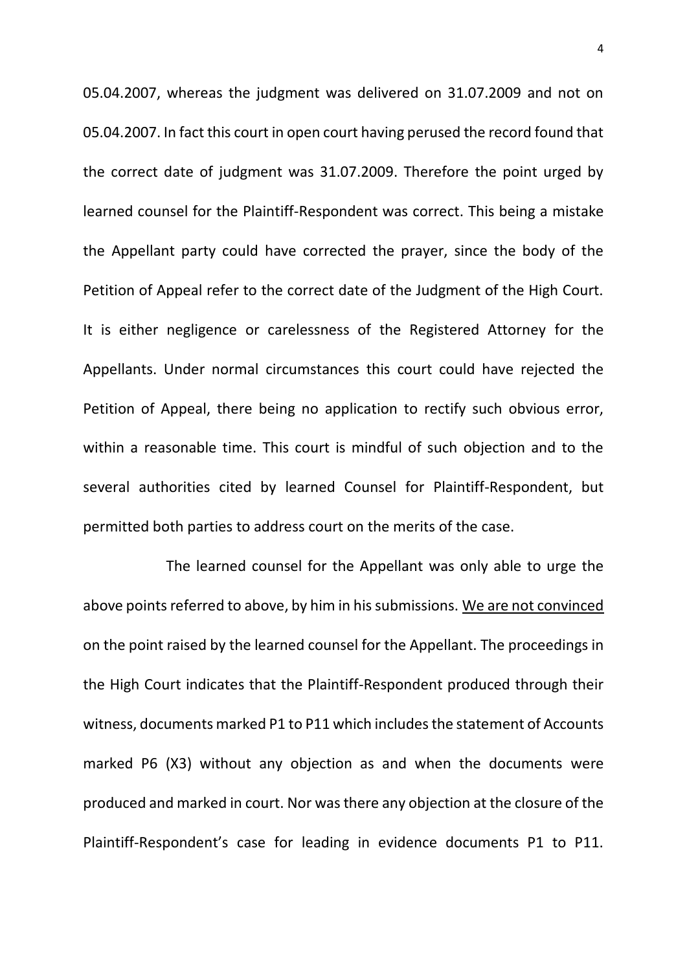05.04.2007, whereas the judgment was delivered on 31.07.2009 and not on 05.04.2007. In fact this court in open court having perused the record found that the correct date of judgment was 31.07.2009. Therefore the point urged by learned counsel for the Plaintiff-Respondent was correct. This being a mistake the Appellant party could have corrected the prayer, since the body of the Petition of Appeal refer to the correct date of the Judgment of the High Court. It is either negligence or carelessness of the Registered Attorney for the Appellants. Under normal circumstances this court could have rejected the Petition of Appeal, there being no application to rectify such obvious error, within a reasonable time. This court is mindful of such objection and to the several authorities cited by learned Counsel for Plaintiff-Respondent, but permitted both parties to address court on the merits of the case.

The learned counsel for the Appellant was only able to urge the above points referred to above, by him in his submissions. We are not convinced on the point raised by the learned counsel for the Appellant. The proceedings in the High Court indicates that the Plaintiff-Respondent produced through their witness, documents marked P1 to P11 which includes the statement of Accounts marked P6 (X3) without any objection as and when the documents were produced and marked in court. Nor was there any objection at the closure of the Plaintiff-Respondent's case for leading in evidence documents P1 to P11.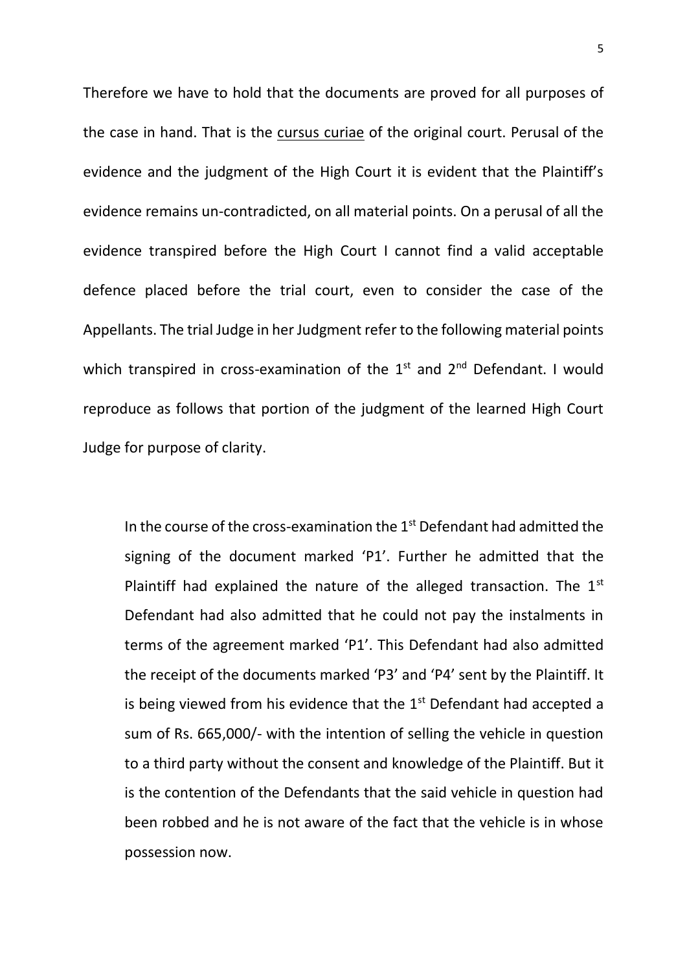Therefore we have to hold that the documents are proved for all purposes of the case in hand. That is the cursus curiae of the original court. Perusal of the evidence and the judgment of the High Court it is evident that the Plaintiff's evidence remains un-contradicted, on all material points. On a perusal of all the evidence transpired before the High Court I cannot find a valid acceptable defence placed before the trial court, even to consider the case of the Appellants. The trial Judge in her Judgment refer to the following material points which transpired in cross-examination of the  $1<sup>st</sup>$  and  $2<sup>nd</sup>$  Defendant. I would reproduce as follows that portion of the judgment of the learned High Court Judge for purpose of clarity.

In the course of the cross-examination the 1st Defendant had admitted the signing of the document marked 'P1'. Further he admitted that the Plaintiff had explained the nature of the alleged transaction. The  $1<sup>st</sup>$ Defendant had also admitted that he could not pay the instalments in terms of the agreement marked 'P1'. This Defendant had also admitted the receipt of the documents marked 'P3' and 'P4' sent by the Plaintiff. It is being viewed from his evidence that the  $1<sup>st</sup>$  Defendant had accepted a sum of Rs. 665,000/- with the intention of selling the vehicle in question to a third party without the consent and knowledge of the Plaintiff. But it is the contention of the Defendants that the said vehicle in question had been robbed and he is not aware of the fact that the vehicle is in whose possession now.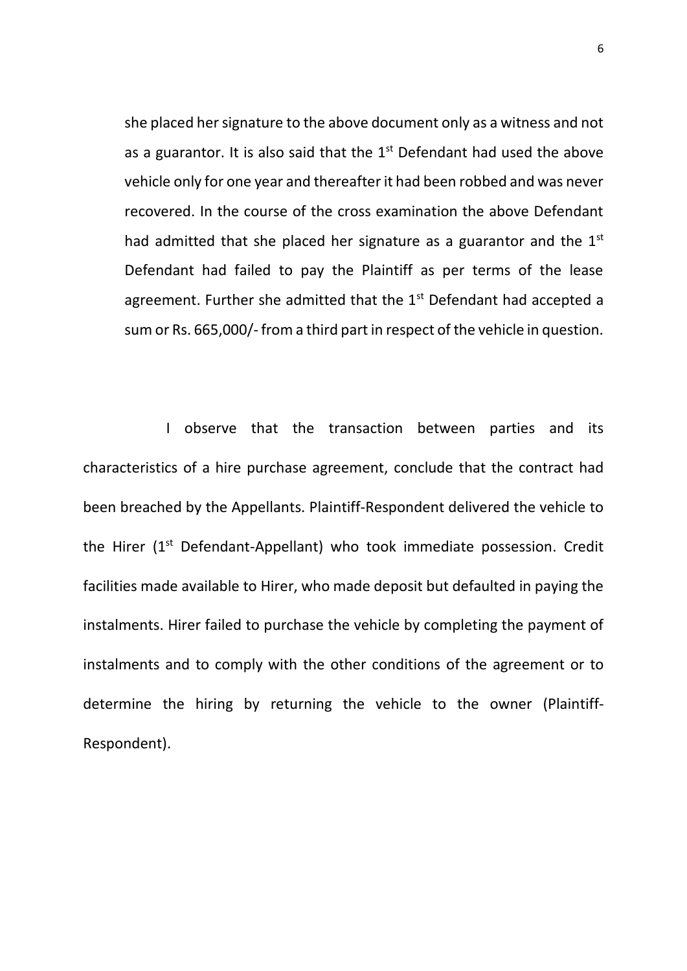she placed her signature to the above document only as a witness and not as a guarantor. It is also said that the  $1<sup>st</sup>$  Defendant had used the above vehicle only for one year and thereafter it had been robbed and was never recovered. In the course of the cross examination the above Defendant had admitted that she placed her signature as a guarantor and the  $1<sup>st</sup>$ Defendant had failed to pay the Plaintiff as per terms of the lease agreement. Further she admitted that the  $1<sup>st</sup>$  Defendant had accepted a sum or Rs. 665,000/- from a third part in respect of the vehicle in question.

I observe that the transaction between parties and its characteristics of a hire purchase agreement, conclude that the contract had been breached by the Appellants. Plaintiff-Respondent delivered the vehicle to the Hirer (1<sup>st</sup> Defendant-Appellant) who took immediate possession. Credit facilities made available to Hirer, who made deposit but defaulted in paying the instalments. Hirer failed to purchase the vehicle by completing the payment of instalments and to comply with the other conditions of the agreement or to determine the hiring by returning the vehicle to the owner (Plaintiff-Respondent).